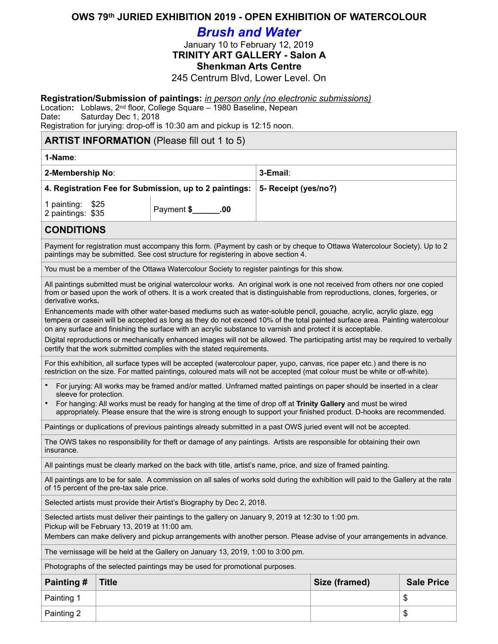### **OWS 79th JURIED EXHIBITION 2019 - OPEN EXHIBITION OF WATERCOLOUR**

# *Brush and Water*

January 10 to February 12, 2019

**TRINITY ART GALLERY - Salon A** 

# **Shenkman Arts Centre**

245 Centrum Blvd, Lower Level. On

#### **Registration/Submission of paintings:** *in person only (no electronic submissions)*

Location**:** Loblaws, 2nd floor, College Square – 1980 Baseline, Nepean Date**:** Saturday Dec 1, 2018

Registration for jurying: drop-off is 10:30 am and pickup is 12:15 noon.

#### **ARTIST INFORMATION** (Please fill out 1 to 5)

| 1-Name:                                                |                             |                      |
|--------------------------------------------------------|-----------------------------|----------------------|
| 2-Membership No:                                       |                             | 3-Email:             |
| 4. Registration Fee for Submission, up to 2 paintings: |                             | 5- Receipt (yes/no?) |
| 1 painting: \$25<br>2 paintings: \$35                  | Payment \$ <b>1,600</b> .00 |                      |

## **CONDITIONS**

Payment for registration must accompany this form. (Payment by cash or by cheque to Ottawa Watercolour Society). Up to 2 paintings may be submitted. See cost structure for registering in above section 4.

You must be a member of the Ottawa Watercolour Society to register paintings for this show.

All paintings submitted must be original watercolour works. An original work is one not received from others nor one copied from or based upon the work of others. It is a work created that is distinguishable from reproductions, clones, forgeries, or derivative works**.** 

Enhancements made with other water-based mediums such as water-soluble pencil, gouache, acrylic, acrylic glaze, egg tempera or casein will be accepted as long as they do not exceed 10% of the total painted surface area. Painting watercolour on any surface and finishing the surface with an acrylic substance to varnish and protect it is acceptable.

Digital reproductions or mechanically enhanced images will not be allowed. The participating artist may be required to verbally certify that the work submitted complies with the stated requirements.

For this exhibition, all surface types will be accepted (watercolour paper, yupo, canvas, rice paper etc.) and there is no restriction on the size. For matted paintings, coloured mats will not be accepted (mat colour must be white or off-white).

- For jurying: All works may be framed and/or matted. Unframed matted paintings on paper should be inserted in a clear sleeve for protection.
- For hanging: All works must be ready for hanging at the time of drop off at **Trinity Gallery** and must be wired appropriately. Please ensure that the wire is strong enough to support your finished product. D-hooks are recommended.

Paintings or duplications of previous paintings already submitted in a past OWS juried event will not be accepted.

The OWS takes no responsibility for theft or damage of any paintings. Artists are responsible for obtaining their own insurance.

All paintings must be clearly marked on the back with title, artist's name, price, and size of framed painting.

All paintings are to be for sale. A commission on all sales of works sold during the exhibition will paid to the Gallery at the rate of 15 percent of the pre-tax sale price.

Selected artists must provide their Artist's Biography by Dec 2, 2018.

Selected artists must deliver their paintings to the gallery on January 9, 2019 at 12:30 to 1:00 pm.

Pickup will be February 13, 2019 at 11:00 am.

Members can make delivery and pickup arrangements with another person. Please advise of your arrangements in advance.

The vernissage will be held at the Gallery on January 13, 2019, 1:00 to 3:00 pm.

Photographs of the selected paintings may be used for promotional purposes.

| <b>Painting #</b> | <b>Title</b> | Size (framed) | <b>Sale Price</b> |
|-------------------|--------------|---------------|-------------------|
| Painting 1        |              |               | мD                |
| Painting 2        |              |               | ۰IJ               |